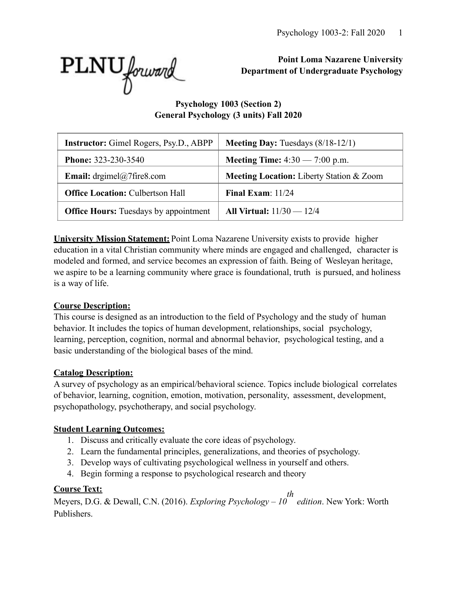

**Point Loma Nazarene University Department of Undergraduate Psychology** 

**Psychology 1003 (Section 2) General Psychology (3 units) Fall 2020** 

| <b>Instructor:</b> Gimel Rogers, Psy.D., ABPP | <b>Meeting Day:</b> Tuesdays $(8/18-12/1)$ |
|-----------------------------------------------|--------------------------------------------|
| <b>Phone: 323-230-3540</b>                    | <b>Meeting Time:</b> $4:30 - 7:00$ p.m.    |
| <b>Email:</b> drgimel@7fire8.com              | Meeting Location: Liberty Station & Zoom   |
| <b>Office Location: Culbertson Hall</b>       | Final Exam: $11/24$                        |
| <b>Office Hours:</b> Tuesdays by appointment  | All Virtual: $11/30 - 12/4$                |

**University Mission Statement:** Point Loma Nazarene University exists to provide higher education in a vital Christian community where minds are engaged and challenged, character is modeled and formed, and service becomes an expression of faith. Being of Wesleyan heritage, we aspire to be a learning community where grace is foundational, truth is pursued, and holiness is a way of life.

# **Course Description:**

This course is designed as an introduction to the field of Psychology and the study of human behavior. It includes the topics of human development, relationships, social psychology, learning, perception, cognition, normal and abnormal behavior, psychological testing, and a basic understanding of the biological bases of the mind.

### **Catalog Description:**

A survey of psychology as an empirical/behavioral science. Topics include biological correlates of behavior, learning, cognition, emotion, motivation, personality, assessment, development, psychopathology, psychotherapy, and social psychology.

# **Student Learning Outcomes:**

- 1. Discuss and critically evaluate the core ideas of psychology.
- 2. Learn the fundamental principles, generalizations, and theories of psychology.
- 3. Develop ways of cultivating psychological wellness in yourself and others.
- 4. Begin forming a response to psychological research and theory

# **Course Text:**

Meyers, D.G. & Dewall, C.N. (2016). *Exploring Psychology – 10 th edition*. New York: Worth Publishers.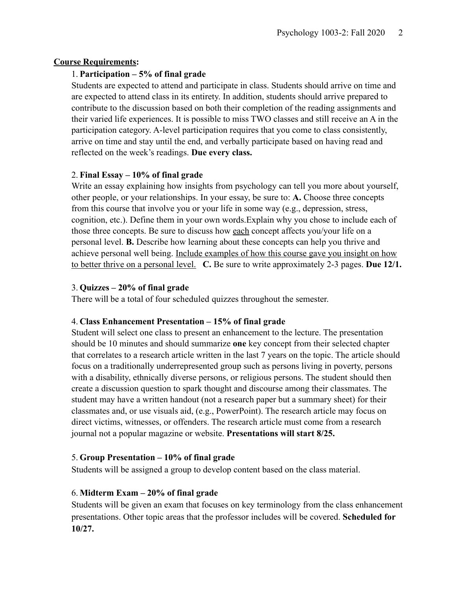### **Course Requirements:**

### 1. **Participation – 5% of final grade**

Students are expected to attend and participate in class. Students should arrive on time and are expected to attend class in its entirety. In addition, students should arrive prepared to contribute to the discussion based on both their completion of the reading assignments and their varied life experiences. It is possible to miss TWO classes and still receive an A in the participation category. A-level participation requires that you come to class consistently, arrive on time and stay until the end, and verbally participate based on having read and reflected on the week's readings. **Due every class.**

### 2. **Final Essay – 10% of final grade**

Write an essay explaining how insights from psychology can tell you more about yourself, other people, or your relationships. In your essay, be sure to: **A.** Choose three concepts from this course that involve you or your life in some way (e.g., depression, stress, cognition, etc.). Define them in your own words.Explain why you chose to include each of those three concepts. Be sure to discuss how each concept affects you/your life on a personal level. **B.** Describe how learning about these concepts can help you thrive and achieve personal well being. Include examples of how this course gave you insight on how to better thrive on a personal level. **C.** Be sure to write approximately 2-3 pages. **Due 12/1.**

### 3. **Quizzes – 20% of final grade**

There will be a total of four scheduled quizzes throughout the semester.

#### 4. **Class Enhancement Presentation – 15% of final grade**

Student will select one class to present an enhancement to the lecture. The presentation should be 10 minutes and should summarize **one** key concept from their selected chapter that correlates to a research article written in the last 7 years on the topic. The article should focus on a traditionally underrepresented group such as persons living in poverty, persons with a disability, ethnically diverse persons, or religious persons. The student should then create a discussion question to spark thought and discourse among their classmates. The student may have a written handout (not a research paper but a summary sheet) for their classmates and, or use visuals aid, (e.g., PowerPoint). The research article may focus on direct victims, witnesses, or offenders. The research article must come from a research journal not a popular magazine or website. **Presentations will start 8/25.**

### 5. **Group Presentation – 10% of final grade**

Students will be assigned a group to develop content based on the class material.

### 6. **Midterm Exam – 20% of final grade**

Students will be given an exam that focuses on key terminology from the class enhancement presentations. Other topic areas that the professor includes will be covered. **Scheduled for 10/27.**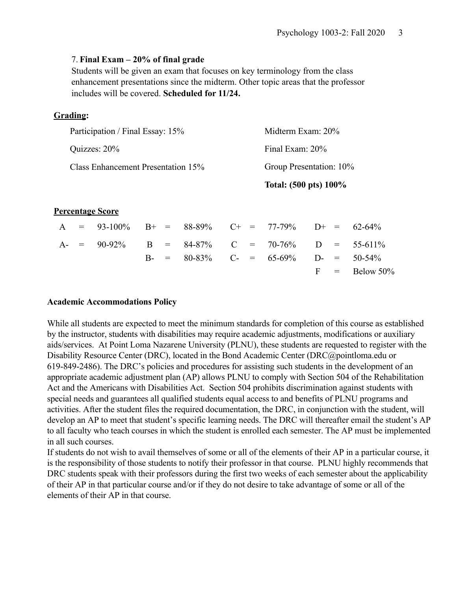#### 7. **Final Exam – 20% of final grade**

Students will be given an exam that focuses on key terminology from the class enhancement presentations since the midterm. Other topic areas that the professor includes will be covered. **Scheduled for 11/24.**

#### **Grading:**

|                                    | Total: (500 pts) 100%   |
|------------------------------------|-------------------------|
| Class Enhancement Presentation 15% | Group Presentation: 10% |
| Quizzes: 20%                       | Final Exam: 20%         |
| Participation / Final Essay: 15%   | Midterm Exam: 20%       |

#### **Percentage Score**

|  | A = $93-100\%$ B+ = $88-89\%$ C+ = $77-79\%$ D+ = $62-64\%$ |  |  |                                              |  |                  |
|--|-------------------------------------------------------------|--|--|----------------------------------------------|--|------------------|
|  | A- = $90-92\%$ B = $84-87\%$ C = $70-76\%$ D = $55-611\%$   |  |  |                                              |  |                  |
|  |                                                             |  |  | B- = $80-83\%$ C- = $65-69\%$ D- = $50-54\%$ |  |                  |
|  |                                                             |  |  |                                              |  | $F = Below 50\%$ |

#### **Academic Accommodations Policy**

While all students are expected to meet the minimum standards for completion of this course as established by the instructor, students with disabilities may require academic adjustments, modifications or auxiliary aids/services. At Point Loma Nazarene University (PLNU), these students are requested to register with the Disability Resource Center (DRC), located in the Bond Academic Center (DRC@pointloma.edu or 619-849-2486). The DRC's policies and procedures for assisting such students in the development of an appropriate academic adjustment plan (AP) allows PLNU to comply with Section 504 of the Rehabilitation Act and the Americans with Disabilities Act. Section 504 prohibits discrimination against students with special needs and guarantees all qualified students equal access to and benefits of PLNU programs and activities. After the student files the required documentation, the DRC, in conjunction with the student, will develop an AP to meet that student's specific learning needs. The DRC will thereafter email the student's AP to all faculty who teach courses in which the student is enrolled each semester. The AP must be implemented in all such courses.

If students do not wish to avail themselves of some or all of the elements of their AP in a particular course, it is the responsibility of those students to notify their professor in that course. PLNU highly recommends that DRC students speak with their professors during the first two weeks of each semester about the applicability of their AP in that particular course and/or if they do not desire to take advantage of some or all of the elements of their AP in that course.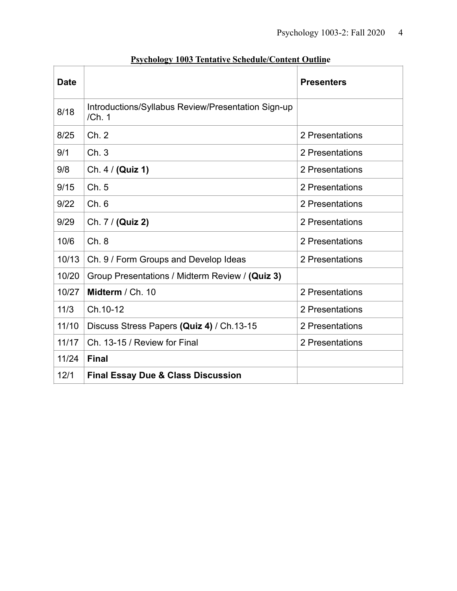| <b>Date</b> |                                                             | <b>Presenters</b> |
|-------------|-------------------------------------------------------------|-------------------|
| 8/18        | Introductions/Syllabus Review/Presentation Sign-up<br>/Ch.1 |                   |
| 8/25        | Ch.2                                                        | 2 Presentations   |
| 9/1         | Ch.3                                                        | 2 Presentations   |
| 9/8         | Ch. 4 / (Quiz 1)                                            | 2 Presentations   |
| 9/15        | Ch.5                                                        | 2 Presentations   |
| 9/22        | Ch.6                                                        | 2 Presentations   |
| 9/29        | Ch. 7 / (Quiz 2)                                            | 2 Presentations   |
| 10/6        | Ch.8                                                        | 2 Presentations   |
| 10/13       | Ch. 9 / Form Groups and Develop Ideas                       | 2 Presentations   |
| 10/20       | Group Presentations / Midterm Review / (Quiz 3)             |                   |
| 10/27       | Midterm / Ch. 10                                            | 2 Presentations   |
| 11/3        | Ch.10-12                                                    | 2 Presentations   |
| 11/10       | Discuss Stress Papers (Quiz 4) / Ch.13-15                   | 2 Presentations   |
| 11/17       | Ch. 13-15 / Review for Final                                | 2 Presentations   |
| 11/24       | <b>Final</b>                                                |                   |
| 12/1        | <b>Final Essay Due &amp; Class Discussion</b>               |                   |

# **Psychology 1003 Tentative Schedule/Content Outline**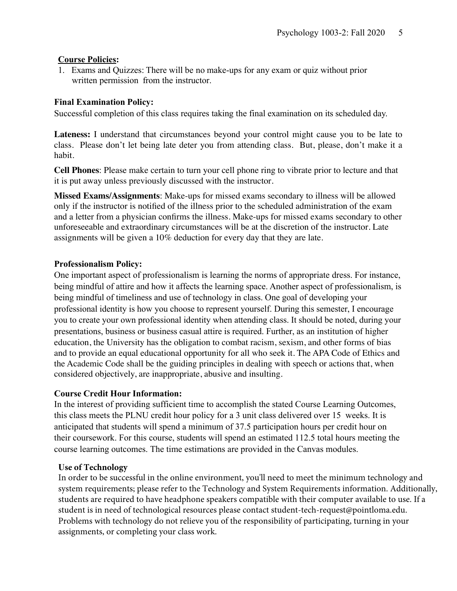### **Course Policies:**

1. Exams and Quizzes: There will be no make-ups for any exam or quiz without prior written permission from the instructor.

### **Final Examination Policy:**

Successful completion of this class requires taking the final examination on its scheduled day.

**Lateness:** I understand that circumstances beyond your control might cause you to be late to class. Please don't let being late deter you from attending class. But, please, don't make it a habit.

**Cell Phones**: Please make certain to turn your cell phone ring to vibrate prior to lecture and that it is put away unless previously discussed with the instructor.

**Missed Exams/Assignments**: Make-ups for missed exams secondary to illness will be allowed only if the instructor is notified of the illness prior to the scheduled administration of the exam and a letter from a physician confirms the illness. Make-ups for missed exams secondary to other unforeseeable and extraordinary circumstances will be at the discretion of the instructor. Late assignments will be given a 10% deduction for every day that they are late.

#### **Professionalism Policy:**

One important aspect of professionalism is learning the norms of appropriate dress. For instance, being mindful of attire and how it affects the learning space. Another aspect of professionalism, is being mindful of timeliness and use of technology in class. One goal of developing your professional identity is how you choose to represent yourself. During this semester, I encourage you to create your own professional identity when attending class. It should be noted, during your presentations, business or business casual attire is required. Further, as an institution of higher education, the University has the obligation to combat racism, sexism, and other forms of bias and to provide an equal educational opportunity for all who seek it. The APA Code of Ethics and the Academic Code shall be the guiding principles in dealing with speech or actions that, when considered objectively, are inappropriate, abusive and insulting.

### **Course Credit Hour Information:**

In the interest of providing sufficient time to accomplish the stated Course Learning Outcomes, this class meets the PLNU credit hour policy for a 3 unit class delivered over 15 weeks. It is anticipated that students will spend a minimum of 37.5 participation hours per credit hour on their coursework. For this course, students will spend an estimated 112.5 total hours meeting the course learning outcomes. The time estimations are provided in the Canvas modules.

#### **Use of Technology**

In order to be successful in the online environment, you'll need to meet the minimum technology and system requirements; please refer to the Technology and System Requirements information. Additionally, students are required to have headphone speakers compatible with their computer available to use. If a student is in need of technological resources please contact student-tech-request@pointloma.edu. Problems with technology do not relieve you of the responsibility of participating, turning in your assignments, or completing your class work.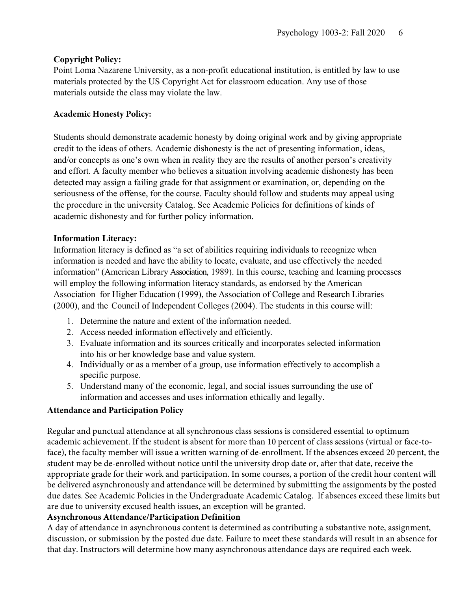### **Copyright Policy:**

Point Loma Nazarene University, as a non-profit educational institution, is entitled by law to use materials protected by the US Copyright Act for classroom education. Any use of those materials outside the class may violate the law.

### **Academic Honesty Policy:**

Students should demonstrate academic honesty by doing original work and by giving appropriate credit to the ideas of others. Academic dishonesty is the act of presenting information, ideas, and/or concepts as one's own when in reality they are the results of another person's creativity and effort. A faculty member who believes a situation involving academic dishonesty has been detected may assign a failing grade for that assignment or examination, or, depending on the seriousness of the offense, for the course. Faculty should follow and students may appeal using the procedure in the university Catalog. See Academic Policies for definitions of kinds of academic dishonesty and for further policy information.

### **Information Literacy:**

Information literacy is defined as "a set of abilities requiring individuals to recognize when information is needed and have the ability to locate, evaluate, and use effectively the needed information" (American Library Association, 1989). In this course, teaching and learning processes will employ the following information literacy standards, as endorsed by the American Association for Higher Education (1999), the Association of College and Research Libraries (2000), and the Council of Independent Colleges (2004). The students in this course will:

- 1. Determine the nature and extent of the information needed.
- 2. Access needed information effectively and efficiently.
- 3. Evaluate information and its sources critically and incorporates selected information into his or her knowledge base and value system.
- 4. Individually or as a member of a group, use information effectively to accomplish a specific purpose.
- 5. Understand many of the economic, legal, and social issues surrounding the use of information and accesses and uses information ethically and legally.

# **Attendance and Participation Policy**

Regular and punctual attendance at all synchronous class sessions is considered essential to optimum academic achievement. If the student is absent for more than 10 percent of class sessions (virtual or face-toface), the faculty member will issue a written warning of de-enrollment. If the absences exceed 20 percent, the student may be de-enrolled without notice until the university drop date or, after that date, receive the appropriate grade for their work and participation. In some courses, a portion of the credit hour content will be delivered asynchronously and attendance will be determined by submitting the assignments by the posted due dates. See Academic Policies in the Undergraduate Academic Catalog. If absences exceed these limits but are due to university excused health issues, an exception will be granted.

### **Asynchronous Attendance/Participation Definition**

A day of attendance in asynchronous content is determined as contributing a substantive note, assignment, discussion, or submission by the posted due date. Failure to meet these standards will result in an absence for that day. Instructors will determine how many asynchronous attendance days are required each week.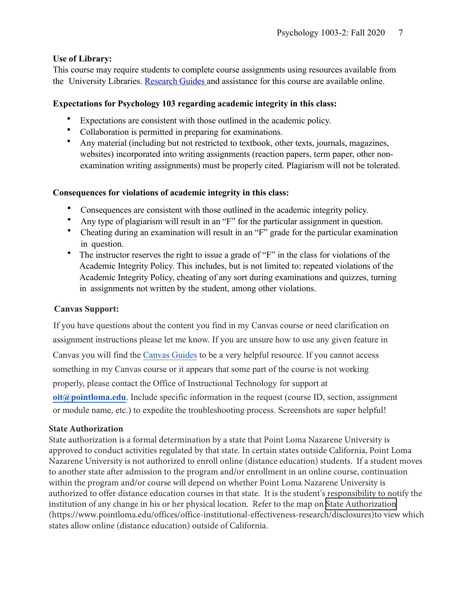### **Use of Library:**

This course may require students to complete course assignments using resources available from the University Libraries. [Research](http://libguides.pointloma.edu/ResearchGuides) Guides and assistance for this course are available online.

### **Expectations for Psychology 103 regarding academic integrity in this class:**

- Expectations are consistent with those outlined in the academic policy.
- Collaboration is permitted in preparing for examinations.
- Any material (including but not restricted to textbook, other texts, journals, magazines, websites) incorporated into writing assignments (reaction papers, term paper, other nonexamination writing assignments) must be properly cited. Plagiarism will not be tolerated.

### **Consequences for violations of academic integrity in this class:**

- Consequences are consistent with those outlined in the academic integrity policy.
- Any type of plagiarism will result in an "F" for the particular assignment in question.
- Cheating during an examination will result in an "F" grade for the particular examination in question.
- The instructor reserves the right to issue a grade of "F" in the class for violations of the Academic Integrity Policy. This includes, but is not limited to: repeated violations of the Academic Integrity Policy, cheating of any sort during examinations and quizzes, turning in assignments not written by the student, among other violations.

### **Canvas Support:**

If you have questions about the content you find in my Canvas course or need clarification on assignment instructions please let me know. If you are unsure how to use any given feature in Canvas you will find the [Canvas Guides](https://community.canvaslms.com/community/answers/guides/) to be a very helpful resource. If you cannot access something in my Canvas course or it appears that some part of the course is not working properly, please contact the Office of Instructional Technology for support at **[oit@pointloma.edu](mailto:oit@pointloma.edu)**. Include specific information in the request (course ID, section, assignment or module name, etc.) to expedite the troubleshooting process. Screenshots are super helpful!

### **State Authorization**

State authorization is a formal determination by a state that Point Loma Nazarene University is approved to conduct activities regulated by that state. In certain states outside California, Point Loma Nazarene University is not authorized to enroll online (distance education) students. If a student moves to another state after admission to the program and/or enrollment in an online course, continuation within the program and/or course will depend on whether Point Loma Nazarene University is authorized to offer distance education courses in that state. It is the student's responsibility to notify the institution of any change in his or her physical location. Refer to the map on State Authorization (https://www.pointloma.edu/offices/office-institutional-effectiveness-research/disclosures)to view which states allow online (distance education) outside of California.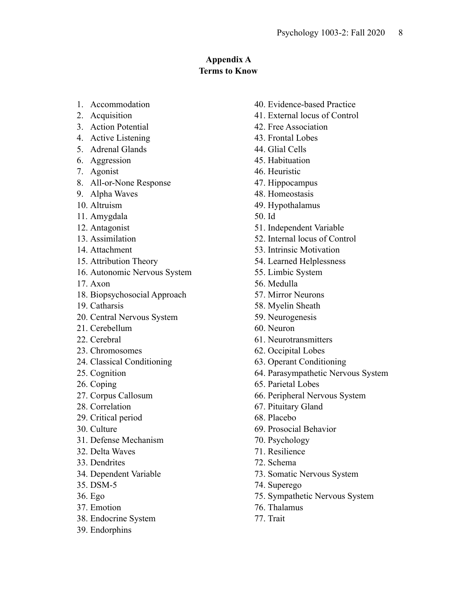# **Appendix A Terms to Know**

- 1. Accommodation
- 2. Acquisition
- 3. Action Potential
- 4. Active Listening
- 5. Adrenal Glands
- 6. Aggression
- 7. Agonist
- 8. All-or-None Response
- 9. Alpha Waves
- 10. Altruism
- 11. Amygdala
- 12. Antagonist
- 13. Assimilation
- 14. Attachment
- 15. Attribution Theory
- 16. Autonomic Nervous System
- 17. Axon
- 18. Biopsychosocial Approach
- 19. Catharsis
- 20. Central Nervous System
- 21. Cerebellum
- 22. Cerebral
- 23. Chromosomes
- 24. Classical Conditioning
- 25. Cognition
- 26. Coping
- 27. Corpus Callosum
- 28. Correlation
- 29. Critical period
- 30. Culture
- 31. Defense Mechanism
- 32. Delta Waves
- 33. Dendrites
- 34. Dependent Variable
- 35. DSM-5
- 36. Ego
- 37. Emotion
- 38. Endocrine System
- 39. Endorphins
- 40. Evidence-based Practice
- 41. External locus of Control
- 42. Free Association
- 43. Frontal Lobes
- 44. Glial Cells
- 45. Habituation
- 46. Heuristic
- 47. Hippocampus
- 48. Homeostasis
- 49. Hypothalamus
- 50. Id
- 51. Independent Variable
- 52. Internal locus of Control
- 53. Intrinsic Motivation
- 54. Learned Helplessness
- 55. Limbic System
- 56. Medulla
- 57. Mirror Neurons
- 58. Myelin Sheath
- 59. Neurogenesis
- 60. Neuron
- 61. Neurotransmitters
- 62. Occipital Lobes
- 63. Operant Conditioning
- 64. Parasympathetic Nervous System
- 65. Parietal Lobes
- 66. Peripheral Nervous System
- 67. Pituitary Gland
- 68. Placebo
- 69. Prosocial Behavior
- 70. Psychology
- 71. Resilience
- 72. Schema
- 73. Somatic Nervous System
- 74. Superego
- 75. Sympathetic Nervous System
- 76. Thalamus
- 77. Trait